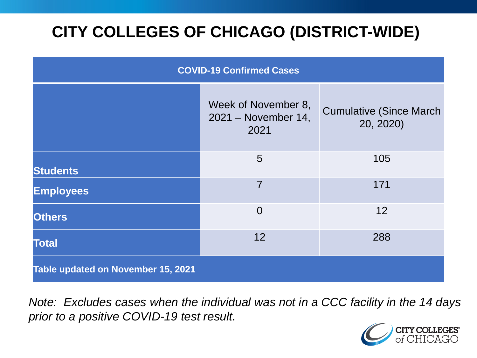# **CITY COLLEGES OF CHICAGO (DISTRICT-WIDE)**

| <b>COVID-19 Confirmed Cases</b>    |                                                    |                                              |
|------------------------------------|----------------------------------------------------|----------------------------------------------|
|                                    | Week of November 8,<br>2021 – November 14,<br>2021 | <b>Cumulative (Since March)</b><br>20, 2020) |
| <b>Students</b>                    | 5                                                  | 105                                          |
| <b>Employees</b>                   | $\overline{7}$                                     | 171                                          |
| <b>Others</b>                      | $\overline{0}$                                     | 12                                           |
| <b>Total</b>                       | 12                                                 | 288                                          |
| Table updated on November 15, 2021 |                                                    |                                              |

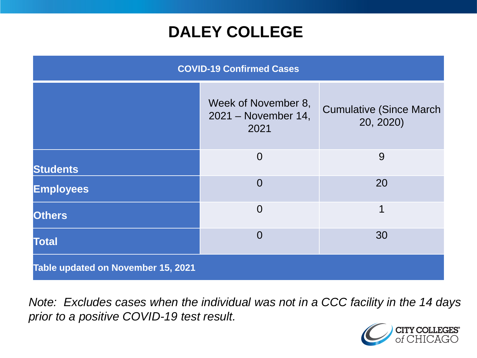# **DALEY COLLEGE**

| <b>COVID-19 Confirmed Cases</b>    |                                                    |                                              |
|------------------------------------|----------------------------------------------------|----------------------------------------------|
|                                    | Week of November 8,<br>2021 - November 14,<br>2021 | <b>Cumulative (Since March)</b><br>20, 2020) |
| <b>Students</b>                    | $\overline{0}$                                     | 9                                            |
| <b>Employees</b>                   | $\overline{0}$                                     | 20                                           |
| <b>Others</b>                      | $\overline{0}$                                     | 1                                            |
| <b>Total</b>                       | $\overline{0}$                                     | 30                                           |
| Table updated on November 15, 2021 |                                                    |                                              |

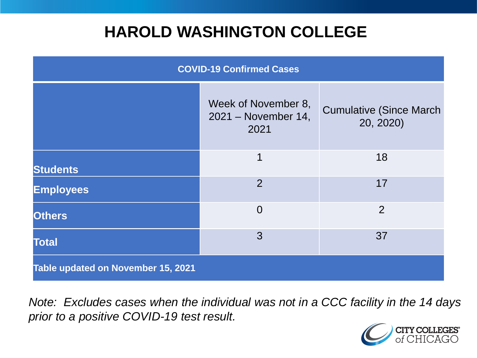## **HAROLD WASHINGTON COLLEGE**

| <b>COVID-19 Confirmed Cases</b>    |                                                    |                                              |
|------------------------------------|----------------------------------------------------|----------------------------------------------|
|                                    | Week of November 8,<br>2021 – November 14,<br>2021 | <b>Cumulative (Since March)</b><br>20, 2020) |
| <b>Students</b>                    | 1                                                  | 18                                           |
| <b>Employees</b>                   | $\overline{2}$                                     | 17                                           |
| <b>Others</b>                      | $\overline{0}$                                     | 2                                            |
| <b>Total</b>                       | 3                                                  | 37                                           |
| Table updated on November 15, 2021 |                                                    |                                              |

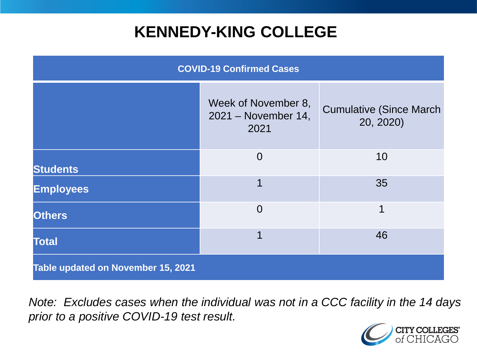# **KENNEDY-KING COLLEGE**

| <b>COVID-19 Confirmed Cases</b>    |                                                    |                                              |
|------------------------------------|----------------------------------------------------|----------------------------------------------|
|                                    | Week of November 8,<br>2021 – November 14,<br>2021 | <b>Cumulative (Since March)</b><br>20, 2020) |
| <b>Students</b>                    | $\overline{0}$                                     | 10                                           |
| <b>Employees</b>                   | 1                                                  | 35                                           |
| <b>Others</b>                      | $\overline{0}$                                     | 1                                            |
| <b>Total</b>                       | 1                                                  | 46                                           |
| Table updated on November 15, 2021 |                                                    |                                              |

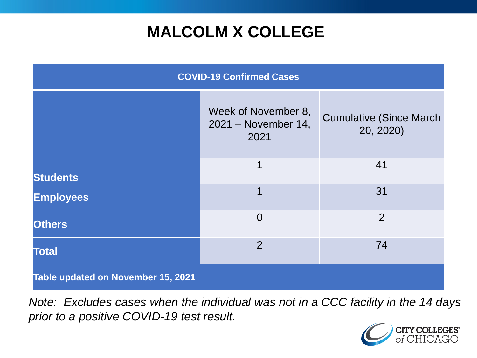# **MALCOLM X COLLEGE**

| <b>COVID-19 Confirmed Cases</b>    |                                                    |                                              |
|------------------------------------|----------------------------------------------------|----------------------------------------------|
|                                    | Week of November 8,<br>2021 – November 14,<br>2021 | <b>Cumulative (Since March)</b><br>20, 2020) |
| <b>Students</b>                    | 1                                                  | 41                                           |
| <b>Employees</b>                   | 1                                                  | 31                                           |
| <b>Others</b>                      | $\overline{0}$                                     | $\overline{2}$                               |
| <b>Total</b>                       | $\overline{2}$                                     | 74                                           |
| Table updated on November 15, 2021 |                                                    |                                              |

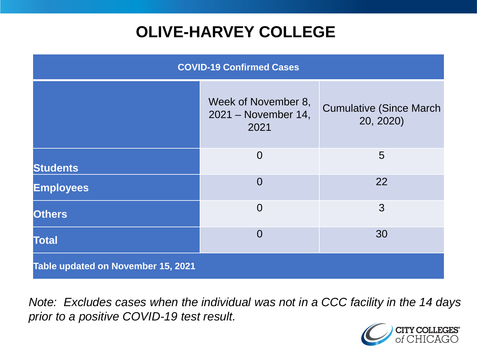# **OLIVE-HARVEY COLLEGE**

| <b>COVID-19 Confirmed Cases</b>    |                                                    |                                              |
|------------------------------------|----------------------------------------------------|----------------------------------------------|
|                                    | Week of November 8,<br>2021 – November 14,<br>2021 | <b>Cumulative (Since March)</b><br>20, 2020) |
| <b>Students</b>                    | $\overline{0}$                                     | 5                                            |
| <b>Employees</b>                   | $\Omega$                                           | 22                                           |
| <b>Others</b>                      | $\overline{0}$                                     | 3                                            |
| <b>Total</b>                       | $\Omega$                                           | 30                                           |
| Table updated on November 15, 2021 |                                                    |                                              |

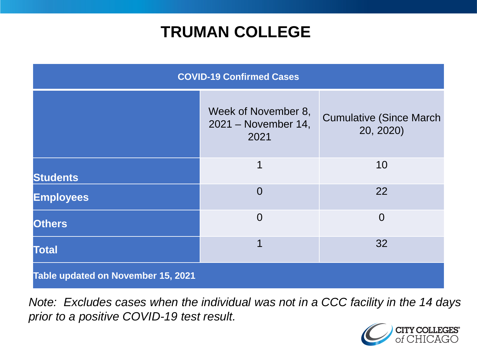# **TRUMAN COLLEGE**

| <b>COVID-19 Confirmed Cases</b>    |                                                    |                                              |
|------------------------------------|----------------------------------------------------|----------------------------------------------|
|                                    | Week of November 8,<br>2021 – November 14,<br>2021 | <b>Cumulative (Since March)</b><br>20, 2020) |
| <b>Students</b>                    | 1                                                  | 10                                           |
| <b>Employees</b>                   | $\overline{0}$                                     | 22                                           |
| <b>Others</b>                      | $\overline{0}$                                     | $\overline{0}$                               |
| <b>Total</b>                       | 1                                                  | 32                                           |
| Table updated on November 15, 2021 |                                                    |                                              |

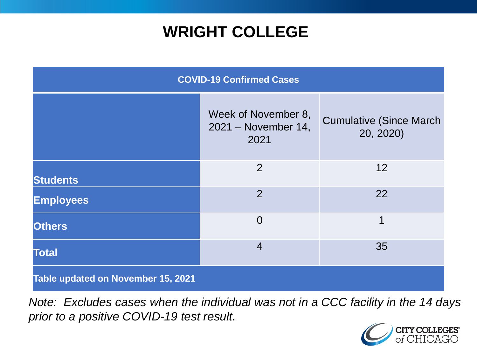# **WRIGHT COLLEGE**

| <b>COVID-19 Confirmed Cases</b>    |                                                    |                                              |
|------------------------------------|----------------------------------------------------|----------------------------------------------|
|                                    | Week of November 8,<br>2021 – November 14,<br>2021 | <b>Cumulative (Since March)</b><br>20, 2020) |
| <b>Students</b>                    | $\overline{2}$                                     | 12                                           |
| <b>Employees</b>                   | $\overline{2}$                                     | 22                                           |
| <b>Others</b>                      | $\overline{0}$                                     | 1                                            |
| <b>Total</b>                       | $\overline{4}$                                     | 35                                           |
| Table updated on November 15, 2021 |                                                    |                                              |